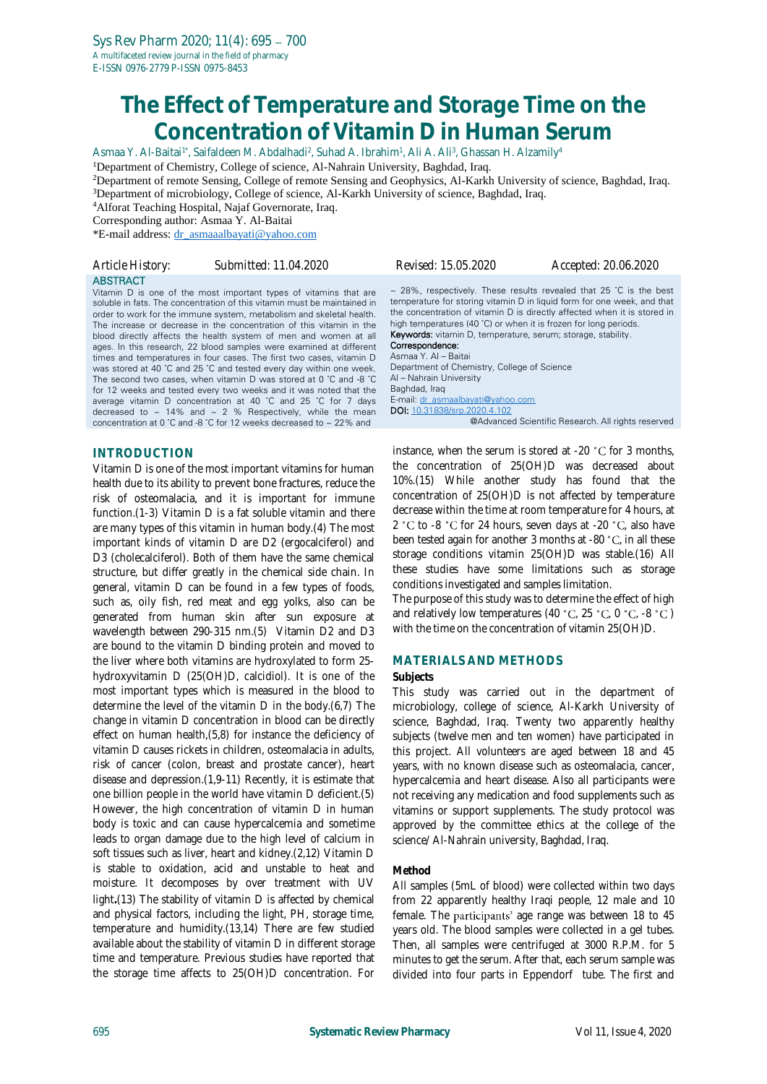# **The Effect of Temperature and Storage Time on the Concentration of Vitamin D in Human Serum**

Asmaa Y. Al-Baitai<sup>1\*</sup>, Saifaldeen M. Abdalhadi<sup>2</sup>, Suhad A. Ibrahim<sup>1</sup>, Ali A. Ali<sup>3</sup>, Ghassan H. Alzamily<sup>4</sup>

<sup>1</sup>Department of Chemistry, College of science, Al-Nahrain University, Baghdad, Iraq.

<sup>2</sup>Department of remote Sensing, College of remote Sensing and Geophysics, Al-Karkh University of science, Baghdad, Iraq. <sup>3</sup>Department of microbiology, College of science, Al-Karkh University of science, Baghdad, Iraq.

<sup>4</sup>Alforat Teaching Hospital, Najaf Governorate, Iraq.

Corresponding author: Asmaa Y. Al-Baitai

\*E-mail address: [dr\\_asmaaalbayati@yahoo.com](mailto:dr_asmaaalbayati@yahoo.com)

| Article History: | Submitted: 11.04.2020                                                       | <i>Revised: 15.05.2020</i>                                  | Accepted: 20.06.2020 |
|------------------|-----------------------------------------------------------------------------|-------------------------------------------------------------|----------------------|
| <b>ABSTRACT</b>  | <u>Vitanain D in ann af tha nanat inanastant tuman af witaning that asa</u> | 28% reprectively These results revealed that 25 °C is the h |                      |

Vitamin D is one of the most important types of vitamins that are soluble in fats. The concentration of this vitamin must be maintained in order to work for the immune system, metabolism and skeletal health. The increase or decrease in the concentration of this vitamin in the blood directly affects the health system of men and women at all ages. In this research, 22 blood samples were examined at different times and temperatures in four cases. The first two cases, vitamin D was stored at 40 ˚C and 25 ˚C and tested every day within one week. The second two cases, when vitamin D was stored at 0 ˚C and -8 ˚C for 12 weeks and tested every two weeks and it was noted that the average vitamin D concentration at 40 ˚C and 25 ˚C for 7 days decreased to  $\sim$  14% and  $\sim$  2 % Respectively, while the mean concentration at 0 ˚C and -8 ˚C for 12 weeks decreased to ~ 22% and

## **INTRODUCTION**

Vitamin D is one of the most important vitamins for human health due to its ability to prevent bone fractures, reduce the risk of osteomalacia, and it is important for immune function.[\(1-3\)](#page-4-0) Vitamin D is a fat soluble vitamin and there are many types of this vitamin in human body.[\(4\)](#page-4-1) The most important kinds of vitamin D are D2 (ergocalciferol) and D3 (cholecalciferol). Both of them have the same chemical structure, but differ greatly in the chemical side chain. In general, vitamin D can be found in a few types of foods, such as, oily fish, red meat and egg yolks, also can be generated from human skin after sun exposure at wavelength between 290-315 nm.[\(5\)](#page-4-2) Vitamin D2 and D3 are bound to the vitamin D binding protein and moved to the liver where both vitamins are hydroxylated to form 25 hydroxyvitamin D (25(OH)D, calcidiol). It is one of the most important types which is measured in the blood to determine the level of the vitamin D in the body.[\(6,](#page-4-3)[7\)](#page-4-4) The change in vitamin D concentration in blood can be directly effect on human health,[\(5,](#page-4-2)[8\)](#page-4-5) for instance the deficiency of vitamin D causes rickets in children, osteomalacia in adults, risk of cancer (colon, breast and prostate cancer), heart disease and depression.[\(1,](#page-4-0)[9-11\)](#page-4-6) Recently, it is estimate that one billion people in the world have vitamin D deficient.[\(5\)](#page-4-2) However, the high concentration of vitamin D in human body is toxic and can cause hypercalcemia and sometime leads to organ damage due to the high level of calcium in soft tissues such as liver, heart and kidney.[\(2](#page-4-7)[,12\)](#page-5-0) Vitamin D is stable to oxidation, acid and unstable to heat and moisture. It decomposes by over treatment with UV light**.**(13) The stability of vitamin D is affected by chemical and physical factors, including the light, PH, storage time, temperature and humidity.[\(13,](#page-5-1)[14\)](#page-5-2) There are few studied available about the stability of vitamin D in different storage time and temperature. Previous studies have reported that the storage time affects to 25(OH)D concentration. For

 $\sim$  28%, respectively. These results revealed that 25 °C is the best temperature for storing vitamin D in liquid form for one week, and that the concentration of vitamin D is directly affected when it is stored in high temperatures (40 °C) or when it is frozen for long periods. Keywords: vitamin D, temperature, serum; storage, stability. Correspondence: Asmaa Y. Al - Baita Department of Chemistry, College of Science

Al – Nahrain University Baghdad, Iraq E-mail: [dr\\_asmaalbayati@yahoo.com](mailto:dr_asmaalbayati@yahoo.com) DOI: [10.31838/srp.2020.4.102](http://dx.doi.org/10.5530/srp.2019.2.04) @Advanced Scientific Research. All rights reserved

instance, when the serum is stored at  $-20$  °C for 3 months. the concentration of 25(OH)D was decreased about 10%.[\(15\)](#page-5-3) While another study has found that the concentration of 25(OH)D is not affected by temperature decrease within the time at room temperature for 4 hours, at 2 °C to -8 °C for 24 hours, seven days at -20 °C, also have been tested again for another 3 months at -80  $^{\circ}$ C, in all these storage conditions vitamin 25(OH)D was stable.[\(16\)](#page-5-4) All these studies have some limitations such as storage conditions investigated and samples limitation.

The purpose of this study was to determine the effect of high and relatively low temperatures (40  $^{\circ}$ C, 25  $^{\circ}$ C, 0  $^{\circ}$ C, -8  $^{\circ}$ C) with the time on the concentration of vitamin 25(OH)D.

### **MATERIALS AND METHODS**

#### **Subjects**

This study was carried out in the department of microbiology, college of science, Al-Karkh University of science, Baghdad, Iraq. Twenty two apparently healthy subjects (twelve men and ten women) have participated in this project. All volunteers are aged between 18 and 45 years, with no known disease such as osteomalacia, cancer, hypercalcemia and heart disease. Also all participants were not receiving any medication and food supplements such as vitamins or support supplements. The study protocol was approved by the committee ethics at the college of the science/ Al-Nahrain university, Baghdad, Iraq.

### **Method**

All samples (5mL of blood) were collected within two days from 22 apparently healthy Iraqi people, 12 male and 10 female. The participants' age range was between 18 to 45 years old. The blood samples were collected in a gel tubes. Then, all samples were centrifuged at 3000 R.P.M. for 5 minutes to get the serum. After that, each serum sample was divided into four parts in Eppendorf tube. The first and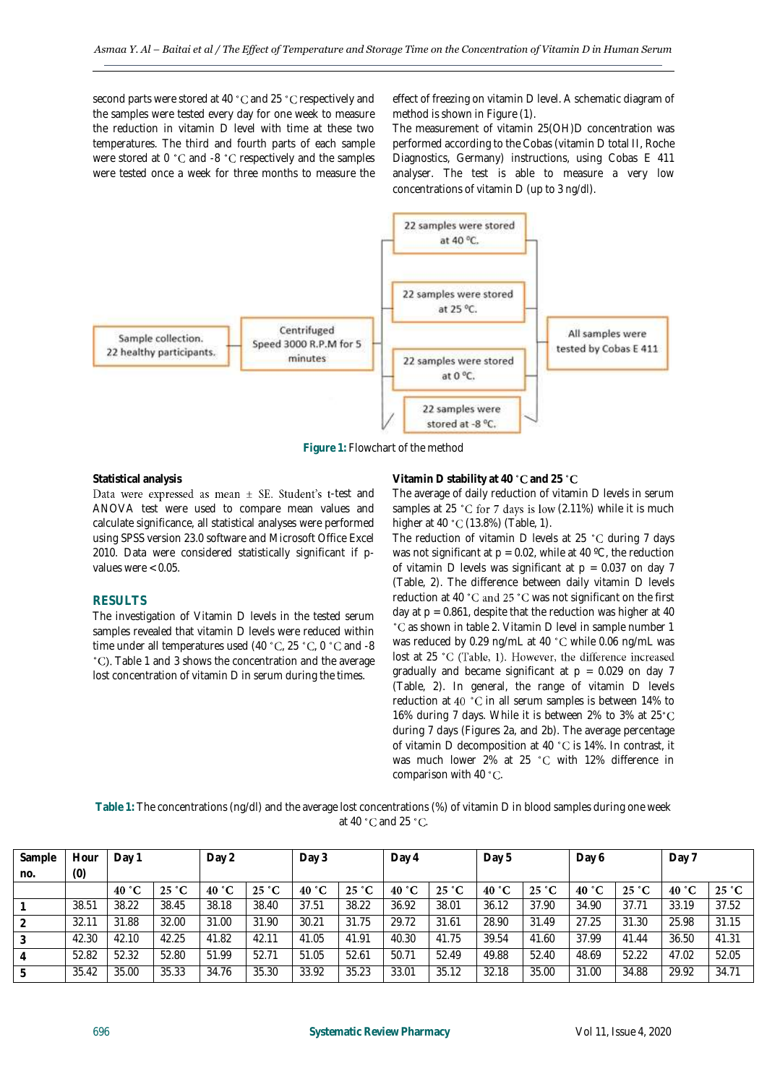second parts were stored at 40 °C and 25 °C respectively and the samples were tested every day for one week to measure the reduction in vitamin D level with time at these two temperatures. The third and fourth parts of each sample were stored at  $0 \text{ }^{\circ}$ C and -8  $\text{ }^{\circ}$ C respectively and the samples were tested once a week for three months to measure the

effect of freezing on vitamin D level. A schematic diagram of method is shown in Figure (1).

The measurement of vitamin 25(OH)D concentration was performed according to the Cobas (vitamin D total II, Roche Diagnostics, Germany) instructions, using Cobas E 411 analyser. The test is able to measure a very low concentrations of vitamin D (up to 3 *ng/dl*).



**Figure 1:** Flowchart of the method

#### **Statistical analysis**

Data were expressed as mean  $\pm$  SE. Student's t-test and ANOVA test were used to compare mean values and calculate significance, all statistical analyses were performed using SPSS version 23.0 software and Microsoft Office Excel 2010. Data were considered statistically significant if pvalues were < 0.05.

#### **RESULTS**

The investigation of Vitamin D levels in the tested serum samples revealed that vitamin D levels were reduced within time under all temperatures used (40 °C, 25 °C, 0 °C and -8 <sup>°</sup>C). Table 1 and 3 shows the concentration and the average lost concentration of vitamin D in serum during the times.

#### **Vitamin D stability at 40 °C and 25 °C**

The average of daily reduction of vitamin D levels in serum samples at 25 °C for 7 days is low (2.11%) while it is much higher at 40 °C (13.8%) (Table, 1).

The reduction of vitamin D levels at 25  $^{\circ}$ C during 7 days was not significant at  $p = 0.02$ , while at 40 °C, the reduction of vitamin D levels was significant at  $p = 0.037$  on day 7 (Table, 2). The difference between daily vitamin D levels reduction at 40 °C and 25 °C was not significant on the first day at  $p = 0.861$ , despite that the reduction was higher at 40 °C as shown in table 2. Vitamin D level in sample number 1 was reduced by 0.29 ng/mL at 40 °C while 0.06 ng/mL was lost at 25 °C (Table, 1). However, the difference increased gradually and became significant at  $p = 0.029$  on day 7 (Table, 2). In general, the range of vitamin D levels reduction at 40 °C in all serum samples is between 14% to 16% during 7 days. While it is between 2% to 3% at 25°C during 7 days (Figures 2a, and 2b). The average percentage of vitamin D decomposition at 40 °C is 14%. In contrast, it was much lower 2% at 25 °C with 12% difference in comparison with 40 $^{\circ}$ C.

| Table 1: The concentrations (ng/dl) and the average lost concentrations (%) of vitamin D in blood samples during one week |
|---------------------------------------------------------------------------------------------------------------------------|
| at 40 °C and 25 °C.                                                                                                       |

| Sample         | Hour           | Day <sup>-</sup> |       | Day 2           |       | Day 3 |       | Day 4 |       | Day 5    |       | Day 6 |       | Day 7 |       |
|----------------|----------------|------------------|-------|-----------------|-------|-------|-------|-------|-------|----------|-------|-------|-------|-------|-------|
| no.            | (0)            |                  |       |                 |       |       |       |       |       |          |       |       |       |       |       |
|                |                | 40 °C            | 25 °C | 40 $^{\circ}$ C | 25 °C | 40 °C | 25 °C | 40 °C | 25 °C | °С<br>40 | 25 °C | 40 °C | 25 °C | 40 °C | 25 °C |
|                | 38.51          | 38.22            | 38.45 | 38.18           | 38.40 | 37.51 | 38.22 | 36.92 | 38.01 | 36.12    | 37.90 | 34.90 | 37.71 | 33.19 | 37.52 |
| $\overline{2}$ | $32.1^{\circ}$ | 31.88            | 32.00 | 31.00           | 31.90 | 30.21 | 31.75 | 29.72 | 31.61 | 28.90    | 31.49 | 27.25 | 31.30 | 25.98 | 31.15 |
| 3              | 42.30          | 42.10            | 42.25 | 41.82           | 42.11 | 41.05 | 41.91 | 40.30 | 41.75 | 39.54    | 41.60 | 37.99 | 41.44 | 36.50 | 41.31 |
| $\overline{4}$ | 52.82          | 52.32            | 52.80 | 51.99           | 52.71 | 51.05 | 52.61 | 50.71 | 52.49 | 49.88    | 52.40 | 48.69 | 52.22 | 47.02 | 52.05 |
| 5              | 35.42          | 35.00            | 35.33 | 34.76           | 35.30 | 33.92 | 35.23 | 33.01 | 35.12 | 32.18    | 35.00 | 31.00 | 34.88 | 29.92 | 34.71 |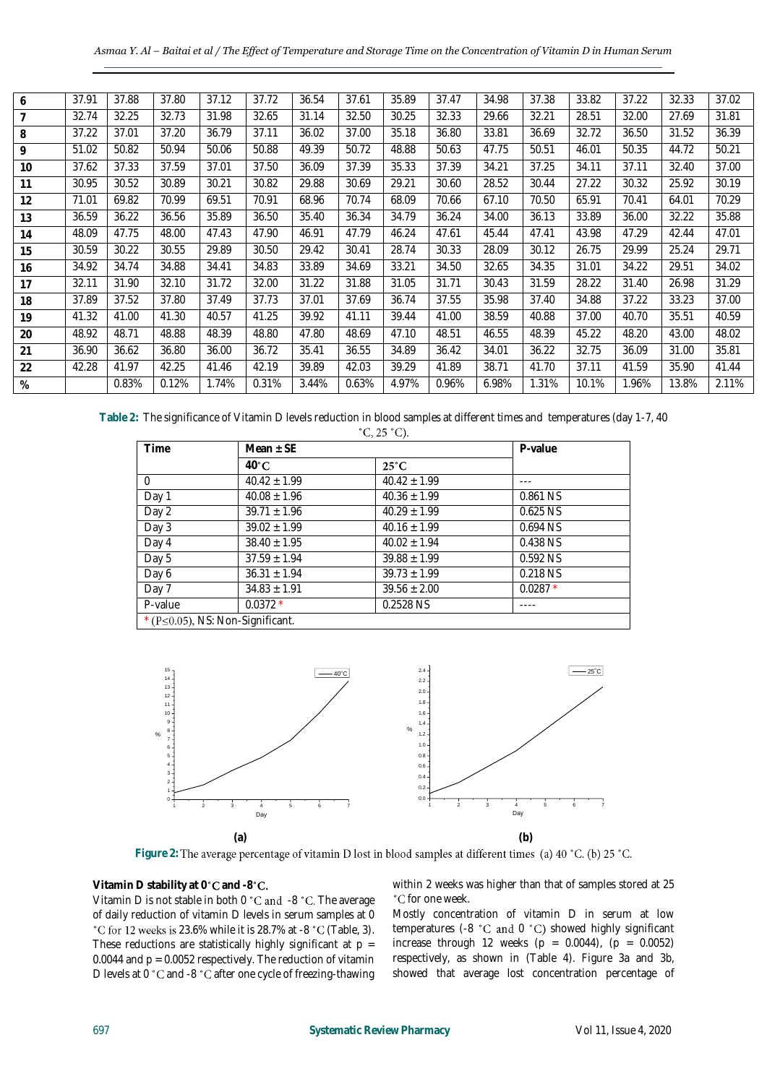| 6  | 37.91 | 37.88 | 37.80 | 37.12 | 37.72 | 36.54 | 37.61 | 35.89 | 37.47 | 34.98 | 37.38 | 33.82 | 37.22 | 32.33 | 37.02 |
|----|-------|-------|-------|-------|-------|-------|-------|-------|-------|-------|-------|-------|-------|-------|-------|
|    | 32.74 | 32.25 | 32.73 | 31.98 | 32.65 | 31.14 | 32.50 | 30.25 | 32.33 | 29.66 | 32.21 | 28.51 | 32.00 | 27.69 | 31.81 |
| 8  | 37.22 | 37.01 | 37.20 | 36.79 | 37.11 | 36.02 | 37.00 | 35.18 | 36.80 | 33.81 | 36.69 | 32.72 | 36.50 | 31.52 | 36.39 |
| 9  | 51.02 | 50.82 | 50.94 | 50.06 | 50.88 | 49.39 | 50.72 | 48.88 | 50.63 | 47.75 | 50.51 | 46.01 | 50.35 | 44.72 | 50.21 |
| 10 | 37.62 | 37.33 | 37.59 | 37.01 | 37.50 | 36.09 | 37.39 | 35.33 | 37.39 | 34.21 | 37.25 | 34.11 | 37.11 | 32.40 | 37.00 |
| 11 | 30.95 | 30.52 | 30.89 | 30.21 | 30.82 | 29.88 | 30.69 | 29.21 | 30.60 | 28.52 | 30.44 | 27.22 | 30.32 | 25.92 | 30.19 |
| 12 | 71.01 | 69.82 | 70.99 | 69.51 | 70.91 | 68.96 | 70.74 | 68.09 | 70.66 | 67.10 | 70.50 | 65.91 | 70.41 | 64.01 | 70.29 |
| 13 | 36.59 | 36.22 | 36.56 | 35.89 | 36.50 | 35.40 | 36.34 | 34.79 | 36.24 | 34.00 | 36.13 | 33.89 | 36.00 | 32.22 | 35.88 |
| 14 | 48.09 | 47.75 | 48.00 | 47.43 | 47.90 | 46.91 | 47.79 | 46.24 | 47.61 | 45.44 | 47.41 | 43.98 | 47.29 | 42.44 | 47.01 |
| 15 | 30.59 | 30.22 | 30.55 | 29.89 | 30.50 | 29.42 | 30.41 | 28.74 | 30.33 | 28.09 | 30.12 | 26.75 | 29.99 | 25.24 | 29.71 |
| 16 | 34.92 | 34.74 | 34.88 | 34.41 | 34.83 | 33.89 | 34.69 | 33.21 | 34.50 | 32.65 | 34.35 | 31.01 | 34.22 | 29.51 | 34.02 |
| 17 | 32.11 | 31.90 | 32.10 | 31.72 | 32.00 | 31.22 | 31.88 | 31.05 | 31.71 | 30.43 | 31.59 | 28.22 | 31.40 | 26.98 | 31.29 |
| 18 | 37.89 | 37.52 | 37.80 | 37.49 | 37.73 | 37.01 | 37.69 | 36.74 | 37.55 | 35.98 | 37.40 | 34.88 | 37.22 | 33.23 | 37.00 |
| 19 | 41.32 | 41.00 | 41.30 | 40.57 | 41.25 | 39.92 | 41.11 | 39.44 | 41.00 | 38.59 | 40.88 | 37.00 | 40.70 | 35.51 | 40.59 |
| 20 | 48.92 | 48.71 | 48.88 | 48.39 | 48.80 | 47.80 | 48.69 | 47.10 | 48.51 | 46.55 | 48.39 | 45.22 | 48.20 | 43.00 | 48.02 |
| 21 | 36.90 | 36.62 | 36.80 | 36.00 | 36.72 | 35.41 | 36.55 | 34.89 | 36.42 | 34.01 | 36.22 | 32.75 | 36.09 | 31.00 | 35.81 |
| 22 | 42.28 | 41.97 | 42.25 | 41.46 | 42.19 | 39.89 | 42.03 | 39.29 | 41.89 | 38.71 | 41.70 | 37.11 | 41.59 | 35.90 | 41.44 |
| %  |       | 0.83% | 0.12% | 1.74% | 0.31% | 3.44% | 0.63% | 4.97% | 0.96% | 6.98% | .31%  | 10.1% | .96%  | 13.8% | 2.11% |

**Table 2:** The significance of Vitamin D levels reduction in blood samples at different times and temperatures (day 1-7, 40

| Time                                     | Mean $\pm$ SE    | P-value          |           |  |  |  |  |  |
|------------------------------------------|------------------|------------------|-----------|--|--|--|--|--|
|                                          | $40^{\circ}$ C   | $25^{\circ}$ C   |           |  |  |  |  |  |
| $\cap$                                   | $40.42 \pm 1.99$ | $40.42 \pm 1.99$ |           |  |  |  |  |  |
| Day 1                                    | $40.08 \pm 1.96$ | $40.36 \pm 1.99$ | 0.861 NS  |  |  |  |  |  |
| Day 2                                    | $39.71 \pm 1.96$ | $40.29 + 1.99$   | 0.625 NS  |  |  |  |  |  |
| Day 3                                    | $39.02 \pm 1.99$ | $40.16 \pm 1.99$ | 0.694 NS  |  |  |  |  |  |
| Day 4                                    | $38.40 \pm 1.95$ | $40.02 \pm 1.94$ | 0.438 NS  |  |  |  |  |  |
| Day 5                                    | $37.59 \pm 1.94$ | $39.88 \pm 1.99$ | 0.592 NS  |  |  |  |  |  |
| Day 6                                    | $36.31 \pm 1.94$ | $39.73 \pm 1.99$ | 0.218 NS  |  |  |  |  |  |
| Day 7                                    | $34.83 \pm 1.91$ | $39.56 \pm 2.00$ | $0.0287*$ |  |  |  |  |  |
| P-value                                  | $0.0372*$        | 0.2528 NS        |           |  |  |  |  |  |
| * ( $P \le 0.05$ ), NS: Non-Significant. |                  |                  |           |  |  |  |  |  |



Figure 2: The average percentage of vitamin D lost in blood samples at different times (a) 40 °C. (b) 25 °C.

## **Vitamin D stability at 0<sup>°</sup>C and -8<sup>°</sup>C.**

Vitamin D is not stable in both  $0 °C$  and  $-8 °C$ . The average of daily reduction of vitamin D levels in serum samples at 0  $^{\circ}$ C for 12 weeks is 23.6% while it is 28.7% at -8  $^{\circ}$ C (Table, 3). These reductions are statistically highly significant at  $p =$ 0.0044 and  $p = 0.0052$  respectively. The reduction of vitamin D levels at 0 °C and -8 °C after one cycle of freezing-thawing

within 2 weeks was higher than that of samples stored at 25 °C for one week.

Mostly concentration of vitamin D in serum at low temperatures (-8  $°C$  and 0  $°C$ ) showed highly significant increase through 12 weeks ( $p = 0.0044$ ), ( $p = 0.0052$ ) respectively, as shown in (Table 4). Figure 3a and 3b, showed that average lost concentration percentage of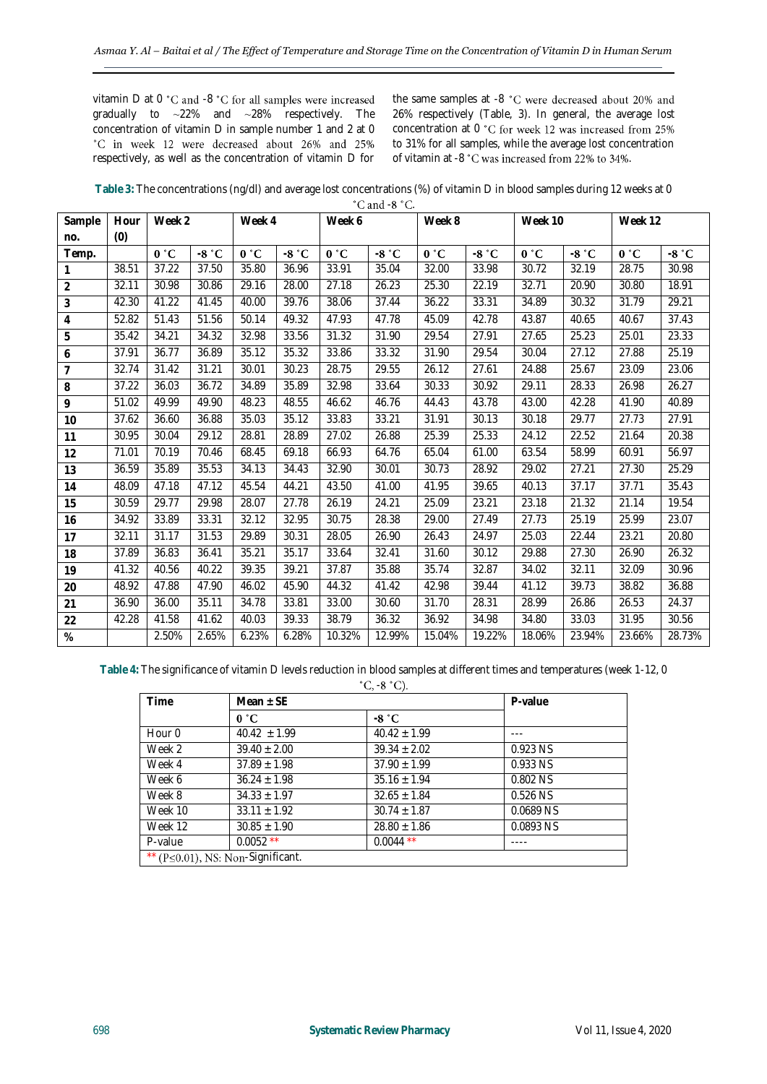vitamin  $D$  at  $0$   $°C$  and  $-8$   $°C$  for all samples were increased gradually to ~22% and ~28% respectively. The concentration of vitamin D in sample number 1 and 2 at 0 °C in week 12 were decreased about 26% and 25% respectively, as well as the concentration of vitamin D for the same samples at -8 °C were decreased about 20% and 26% respectively (Table, 3). In general, the average lost concentration at 0 °C for week 12 was increased from 25% to 31% for all samples, while the average lost concentration of vitamin at -8 °C was increased from 22% to 34%.

**Table 3:** The concentrations (ng/dl) and average lost concentrations (%) of vitamin D in blood samples during 12 weeks at 0  $^{\circ}$ C and -8  $^{\circ}$ C

| Sample         | Hour  | Week 2 |                    | Week 4 |         | Week 6 |         | Week 8 |         | Week 10 |         | Week 12 |         |
|----------------|-------|--------|--------------------|--------|---------|--------|---------|--------|---------|---------|---------|---------|---------|
| no.            | (0)   |        |                    |        |         |        |         |        |         |         |         |         |         |
| Temp.          |       | 0 °C   | $-8 °C$            | 0 °C   | $-8 °C$ | 0 °C   | $-8 °C$ | 0 °C   | $-8 °C$ | 0 °C    | $-8 °C$ | 0 °C    | $-8 °C$ |
| $\mathbf{1}$   | 38.51 | 37.22  | 37.50              | 35.80  | 36.96   | 33.91  | 35.04   | 32.00  | 33.98   | 30.72   | 32.19   | 28.75   | 30.98   |
| $\overline{2}$ | 32.11 | 30.98  | 30.86              | 29.16  | 28.00   | 27.18  | 26.23   | 25.30  | 22.19   | 32.71   | 20.90   | 30.80   | 18.91   |
| 3              | 42.30 | 41.22  | 41.45              | 40.00  | 39.76   | 38.06  | 37.44   | 36.22  | 33.31   | 34.89   | 30.32   | 31.79   | 29.21   |
| 4              | 52.82 | 51.43  | 51.56              | 50.14  | 49.32   | 47.93  | 47.78   | 45.09  | 42.78   | 43.87   | 40.65   | 40.67   | 37.43   |
| 5              | 35.42 | 34.21  | 34.32              | 32.98  | 33.56   | 31.32  | 31.90   | 29.54  | 27.91   | 27.65   | 25.23   | 25.01   | 23.33   |
| 6              | 37.91 | 36.77  | 36.89              | 35.12  | 35.32   | 33.86  | 33.32   | 31.90  | 29.54   | 30.04   | 27.12   | 27.88   | 25.19   |
| $\overline{7}$ | 32.74 | 31.42  | 31.21              | 30.01  | 30.23   | 28.75  | 29.55   | 26.12  | 27.61   | 24.88   | 25.67   | 23.09   | 23.06   |
| 8              | 37.22 | 36.03  | 36.72              | 34.89  | 35.89   | 32.98  | 33.64   | 30.33  | 30.92   | 29.11   | 28.33   | 26.98   | 26.27   |
| 9              | 51.02 | 49.99  | 49.90              | 48.23  | 48.55   | 46.62  | 46.76   | 44.43  | 43.78   | 43.00   | 42.28   | 41.90   | 40.89   |
| 10             | 37.62 | 36.60  | 36.88              | 35.03  | 35.12   | 33.83  | 33.21   | 31.91  | 30.13   | 30.18   | 29.77   | 27.73   | 27.91   |
| 11             | 30.95 | 30.04  | $\overline{2}9.12$ | 28.81  | 28.89   | 27.02  | 26.88   | 25.39  | 25.33   | 24.12   | 22.52   | 21.64   | 20.38   |
| 12             | 71.01 | 70.19  | 70.46              | 68.45  | 69.18   | 66.93  | 64.76   | 65.04  | 61.00   | 63.54   | 58.99   | 60.91   | 56.97   |
| 13             | 36.59 | 35.89  | 35.53              | 34.13  | 34.43   | 32.90  | 30.01   | 30.73  | 28.92   | 29.02   | 27.21   | 27.30   | 25.29   |
| 14             | 48.09 | 47.18  | 47.12              | 45.54  | 44.21   | 43.50  | 41.00   | 41.95  | 39.65   | 40.13   | 37.17   | 37.71   | 35.43   |
| 15             | 30.59 | 29.77  | 29.98              | 28.07  | 27.78   | 26.19  | 24.21   | 25.09  | 23.21   | 23.18   | 21.32   | 21.14   | 19.54   |
| 16             | 34.92 | 33.89  | 33.31              | 32.12  | 32.95   | 30.75  | 28.38   | 29.00  | 27.49   | 27.73   | 25.19   | 25.99   | 23.07   |
| 17             | 32.11 | 31.17  | 31.53              | 29.89  | 30.31   | 28.05  | 26.90   | 26.43  | 24.97   | 25.03   | 22.44   | 23.21   | 20.80   |
| 18             | 37.89 | 36.83  | 36.41              | 35.21  | 35.17   | 33.64  | 32.41   | 31.60  | 30.12   | 29.88   | 27.30   | 26.90   | 26.32   |
| 19             | 41.32 | 40.56  | 40.22              | 39.35  | 39.21   | 37.87  | 35.88   | 35.74  | 32.87   | 34.02   | 32.11   | 32.09   | 30.96   |
| 20             | 48.92 | 47.88  | 47.90              | 46.02  | 45.90   | 44.32  | 41.42   | 42.98  | 39.44   | 41.12   | 39.73   | 38.82   | 36.88   |
| 21             | 36.90 | 36.00  | 35.11              | 34.78  | 33.81   | 33.00  | 30.60   | 31.70  | 28.31   | 28.99   | 26.86   | 26.53   | 24.37   |
| 22             | 42.28 | 41.58  | 41.62              | 40.03  | 39.33   | 38.79  | 36.32   | 36.92  | 34.98   | 34.80   | 33.03   | 31.95   | 30.56   |
| $\%$           |       | 2.50%  | 2.65%              | 6.23%  | 6.28%   | 10.32% | 12.99%  | 15.04% | 19.22%  | 18.06%  | 23.94%  | 23.66%  | 28.73%  |

**Table 4:** The significance of vitamin D levels reduction in blood samples at different times and temperatures (week 1-12, 0

 $^{\circ}$ C, -8 $^{\circ}$ C).

|         |                                           | - - - -          |           |  |  |  |  |  |  |
|---------|-------------------------------------------|------------------|-----------|--|--|--|--|--|--|
| Time    | Mean $\pm$ SE                             |                  | P-value   |  |  |  |  |  |  |
|         | 0 °C                                      | $-8 °C$          |           |  |  |  |  |  |  |
| Hour 0  | $40.42 + 1.99$                            | $40.42 + 1.99$   | ---       |  |  |  |  |  |  |
| Week 2  | $39.40 \pm 2.00$                          | $39.34 \pm 2.02$ | 0.923 NS  |  |  |  |  |  |  |
| Week 4  | $37.89 + 1.98$                            | $37.90 + 1.99$   | 0.933 NS  |  |  |  |  |  |  |
| Week 6  | $36.24 + 1.98$                            | $35.16 \pm 1.94$ | 0.802 NS  |  |  |  |  |  |  |
| Week 8  | $34.33 \pm 1.97$                          | $32.65 \pm 1.84$ | 0.526 NS  |  |  |  |  |  |  |
| Week 10 | $33.11 \pm 1.92$                          | $30.74 \pm 1.87$ | 0.0689 NS |  |  |  |  |  |  |
| Week 12 | $30.85 \pm 1.90$                          | $28.80 \pm 1.86$ | 0.0893 NS |  |  |  |  |  |  |
| P-value | $0.0052$ **                               | $0.0044$ **      |           |  |  |  |  |  |  |
|         | ** ( $P \le 0.01$ ), NS: Non-Significant. |                  |           |  |  |  |  |  |  |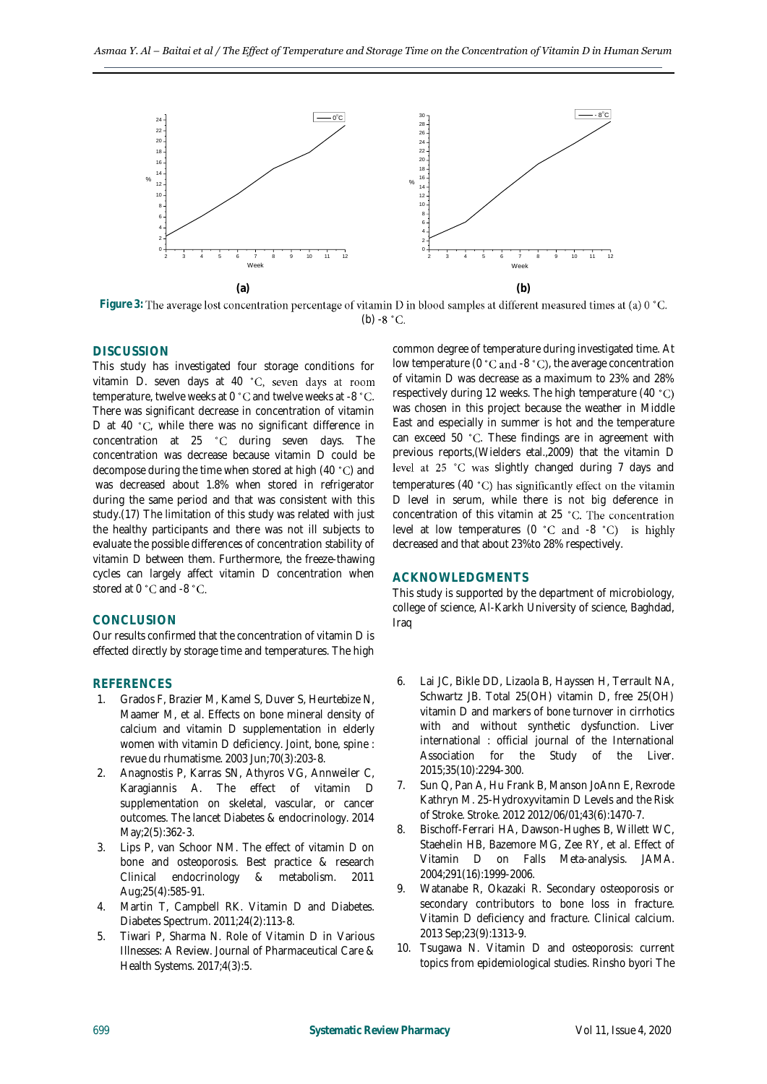

Figure 3: The average lost concentration percentage of vitamin D in blood samples at different measured times at (a) 0 °C. (b)  $-8 °C$ .

## **DISCUSSION**

This study has investigated four storage conditions for vitamin D. seven days at 40 °C, seven days at room temperature, twelve weeks at 0  $^{\circ}$ C and twelve weeks at -8  $^{\circ}$ C. There was significant decrease in concentration of vitamin D at 40 °C, while there was no significant difference in concentration at 25 °C during seven days. The concentration was decrease because vitamin D could be decompose during the time when stored at high  $(40 \degree C)$  and was decreased about 1.8% when stored in refrigerator during the same period and that was consistent with this study.[\(17\)](#page-5-5) The limitation of this study was related with just the healthy participants and there was not ill subjects to evaluate the possible differences of concentration stability of vitamin D between them. Furthermore, the freeze-thawing cycles can largely affect vitamin D concentration when stored at 0 °C and -8 °C.

## **CONCLUSION**

Our results confirmed that the concentration of vitamin D is effected directly by storage time and temperatures. The high

# **REFERENCES**

- <span id="page-4-0"></span>1. Grados F, Brazier M, Kamel S, Duver S, Heurtebize N, Maamer M, et al. Effects on bone mineral density of calcium and vitamin D supplementation in elderly women with vitamin D deficiency. Joint, bone, spine : revue du rhumatisme. 2003 Jun;70(3):203-8.
- <span id="page-4-7"></span>2. Anagnostis P, Karras SN, Athyros VG, Annweiler C, Karagiannis A. The effect of vitamin D supplementation on skeletal, vascular, or cancer outcomes. The lancet Diabetes & endocrinology. 2014 May;2(5):362-3.
- 3. Lips P, van Schoor NM. The effect of vitamin D on bone and osteoporosis. Best practice & research Clinical endocrinology & metabolism. 2011 Aug;25(4):585-91.
- <span id="page-4-1"></span>4. Martin T, Campbell RK. Vitamin D and Diabetes. Diabetes Spectrum. 2011;24(2):113-8.
- <span id="page-4-2"></span>5. Tiwari P, Sharma N. Role of Vitamin D in Various Illnesses: A Review. Journal of Pharmaceutical Care & Health Systems. 2017;4(3):5.

common degree of temperature during investigated time. At low temperature ( $0$   $^{\circ}$ C and  $-8$   $^{\circ}$ C), the average concentration of vitamin D was decrease as a maximum to 23% and 28% respectively during 12 weeks. The high temperature (40 was chosen in this project because the weather in Middle East and especially in summer is hot and the temperature can exceed 50 °C. These findings are in agreement with previous reports,(Wielders etal.,2009) that the vitamin D level at 25 °C was slightly changed during 7 days and temperatures (40 °C) has significantly effect on the vitamin D level in serum, while there is not big deference in concentration of this vitamin at 25 °C. The concentration level at low temperatures  $(0 \degree C \text{ and } -8 \degree C)$  is highly decreased and that about 23%to 28% respectively.

#### **ACKNOWLEDGMENTS**

This study is supported by the department of microbiology, college of science, Al-Karkh University of science, Baghdad, Iraq

- <span id="page-4-3"></span>6. Lai JC, Bikle DD, Lizaola B, Hayssen H, Terrault NA, Schwartz JB. Total 25(OH) vitamin D, free 25(OH) vitamin D and markers of bone turnover in cirrhotics with and without synthetic dysfunction. Liver international : official journal of the International Association for the Study of the Liver. 2015;35(10):2294-300.
- <span id="page-4-4"></span>7. Sun Q, Pan A, Hu Frank B, Manson JoAnn E, Rexrode Kathryn M. 25-Hydroxyvitamin D Levels and the Risk of Stroke. Stroke. 2012 2012/06/01;43(6):1470-7.
- <span id="page-4-5"></span>8. Bischoff-Ferrari HA, Dawson-Hughes B, Willett WC, Staehelin HB, Bazemore MG, Zee RY, et al. Effect of Vitamin D on Falls Meta-analysis. JAMA. 2004;291(16):1999-2006.
- <span id="page-4-6"></span>9. Watanabe R, Okazaki R. Secondary osteoporosis or secondary contributors to bone loss in fracture. Vitamin D deficiency and fracture. Clinical calcium. 2013 Sep;23(9):1313-9.
- 10. Tsugawa N. Vitamin D and osteoporosis: current topics from epidemiological studies. Rinsho byori The